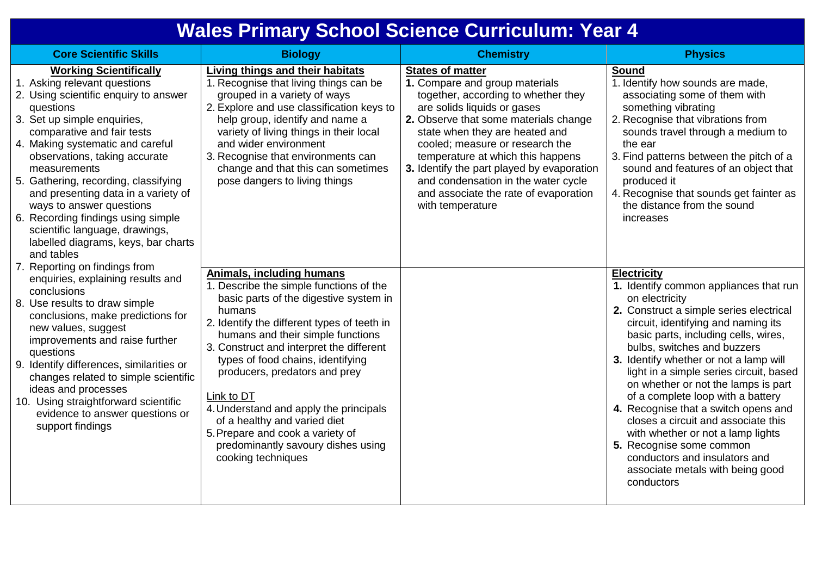## **Wales Primary School Science Curriculum: Year 4**